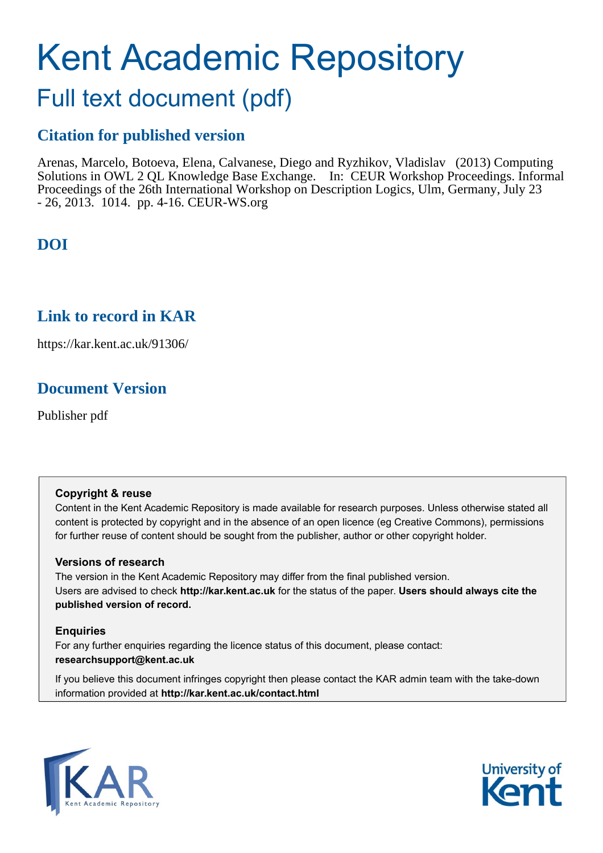# Kent Academic Repository

## Full text document (pdf)

## **Citation for published version**

Arenas, Marcelo, Botoeva, Elena, Calvanese, Diego and Ryzhikov, Vladislav (2013) Computing Solutions in OWL 2 QL Knowledge Base Exchange. In: CEUR Workshop Proceedings. Informal Proceedings of the 26th International Workshop on Description Logics, Ulm, Germany, July 23 - 26, 2013. 1014. pp. 4-16. CEUR-WS.org

## **DOI**

## **Link to record in KAR**

https://kar.kent.ac.uk/91306/

## **Document Version**

Publisher pdf

## **Copyright & reuse**

Content in the Kent Academic Repository is made available for research purposes. Unless otherwise stated all content is protected by copyright and in the absence of an open licence (eg Creative Commons), permissions for further reuse of content should be sought from the publisher, author or other copyright holder.

## **Versions of research**

The version in the Kent Academic Repository may differ from the final published version. Users are advised to check **http://kar.kent.ac.uk** for the status of the paper. **Users should always cite the published version of record.**

## **Enquiries**

For any further enquiries regarding the licence status of this document, please contact: **researchsupport@kent.ac.uk**

If you believe this document infringes copyright then please contact the KAR admin team with the take-down information provided at **http://kar.kent.ac.uk/contact.html**



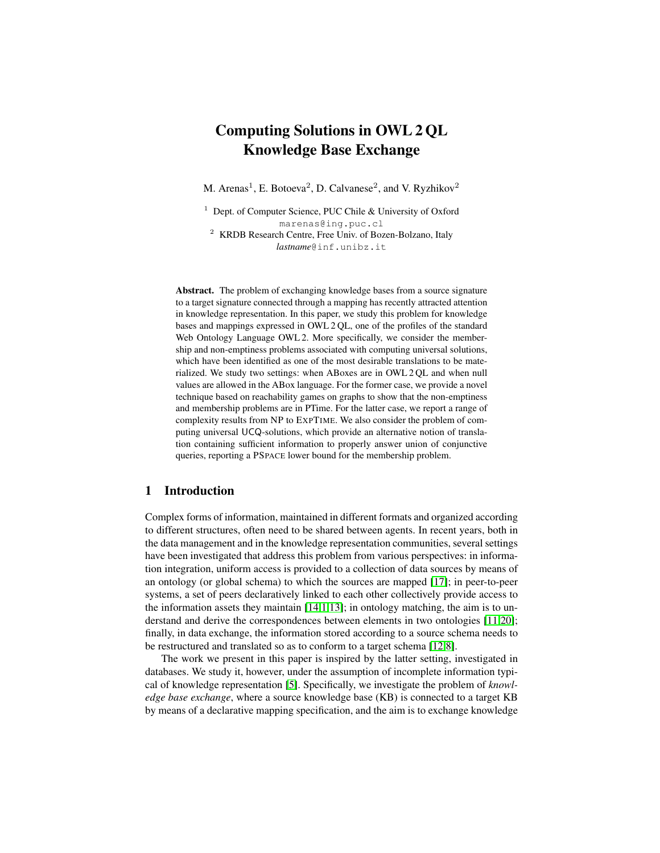## Computing Solutions in OWL 2 QL Knowledge Base Exchange

M. Arenas<sup>1</sup>, E. Botoeva<sup>2</sup>, D. Calvanese<sup>2</sup>, and V. Ryzhikov<sup>2</sup>

<sup>1</sup> Dept. of Computer Science, PUC Chile & University of Oxford marenas@ing.puc.cl

<sup>2</sup> KRDB Research Centre, Free Univ. of Bozen-Bolzano, Italy *lastname*@inf.unibz.it

Abstract. The problem of exchanging knowledge bases from a source signature to a target signature connected through a mapping has recently attracted attention in knowledge representation. In this paper, we study this problem for knowledge bases and mappings expressed in OWL 2 QL, one of the profiles of the standard Web Ontology Language OWL 2. More specifically, we consider the membership and non-emptiness problems associated with computing universal solutions, which have been identified as one of the most desirable translations to be materialized. We study two settings: when ABoxes are in OWL 2 QL and when null values are allowed in the ABox language. For the former case, we provide a novel technique based on reachability games on graphs to show that the non-emptiness and membership problems are in PTime. For the latter case, we report a range of complexity results from NP to EXPTIME. We also consider the problem of computing universal UCQ-solutions, which provide an alternative notion of translation containing sufficient information to properly answer union of conjunctive queries, reporting a PSPACE lower bound for the membership problem.

#### 1 Introduction

Complex forms of information, maintained in different formats and organized according to different structures, often need to be shared between agents. In recent years, both in the data management and in the knowledge representation communities, several settings have been investigated that address this problem from various perspectives: in information integration, uniform access is provided to a collection of data sources by means of an ontology (or global schema) to which the sources are mapped [17]; in peer-to-peer systems, a set of peers declaratively linked to each other collectively provide access to the information assets they maintain  $[14,1,13]$ ; in ontology matching, the aim is to understand and derive the correspondences between elements in two ontologies [11,20]; finally, in data exchange, the information stored according to a source schema needs to be restructured and translated so as to conform to a target schema [12,8].

The work we present in this paper is inspired by the latter setting, investigated in databases. We study it, however, under the assumption of incomplete information typical of knowledge representation [5]. Specifically, we investigate the problem of *knowledge base exchange*, where a source knowledge base (KB) is connected to a target KB by means of a declarative mapping specification, and the aim is to exchange knowledge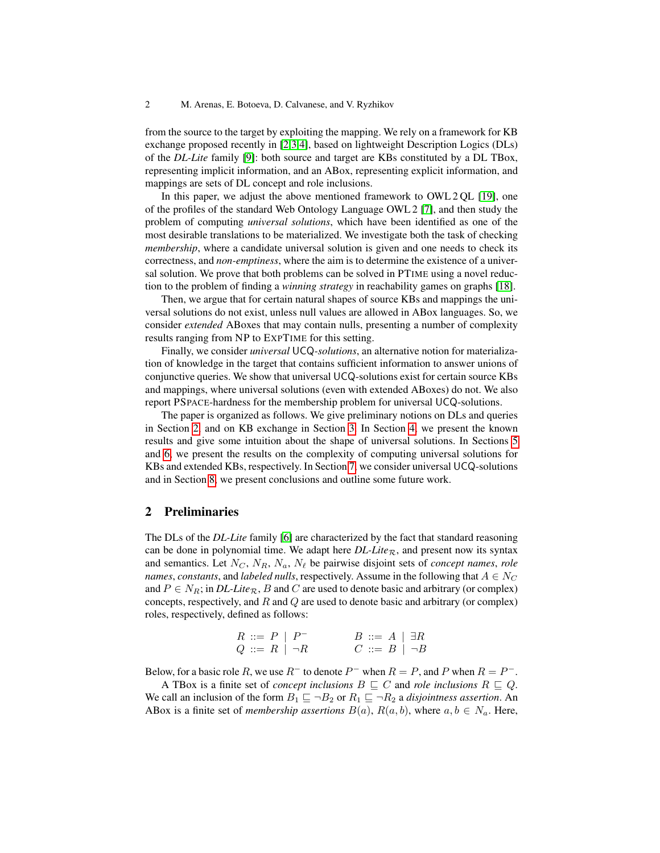from the source to the target by exploiting the mapping. We rely on a framework for KB exchange proposed recently in [2,3,4], based on lightweight Description Logics (DLs) of the *DL-Lite* family [9]: both source and target are KBs constituted by a DL TBox, representing implicit information, and an ABox, representing explicit information, and mappings are sets of DL concept and role inclusions.

In this paper, we adjust the above mentioned framework to OWL 2 QL [19], one of the profiles of the standard Web Ontology Language OWL 2 [7], and then study the problem of computing *universal solutions*, which have been identified as one of the most desirable translations to be materialized. We investigate both the task of checking *membership*, where a candidate universal solution is given and one needs to check its correctness, and *non-emptiness*, where the aim is to determine the existence of a universal solution. We prove that both problems can be solved in PTIME using a novel reduction to the problem of finding a *winning strategy* in reachability games on graphs [18].

Then, we argue that for certain natural shapes of source KBs and mappings the universal solutions do not exist, unless null values are allowed in ABox languages. So, we consider *extended* ABoxes that may contain nulls, presenting a number of complexity results ranging from NP to EXPTIME for this setting.

Finally, we consider *universal* UCQ*-solutions*, an alternative notion for materialization of knowledge in the target that contains sufficient information to answer unions of conjunctive queries. We show that universal UCQ-solutions exist for certain source KBs and mappings, where universal solutions (even with extended ABoxes) do not. We also report PSPACE-hardness for the membership problem for universal UCQ-solutions.

The paper is organized as follows. We give preliminary notions on DLs and queries in Section 2, and on KB exchange in Section 3. In Section 4, we present the known results and give some intuition about the shape of universal solutions. In Sections 5 and 6, we present the results on the complexity of computing universal solutions for KBs and extended KBs, respectively. In Section 7, we consider universal UCQ-solutions and in Section 8, we present conclusions and outline some future work.

#### 2 Preliminaries

The DLs of the *DL-Lite* family [6] are characterized by the fact that standard reasoning can be done in polynomial time. We adapt here  $DL\text{-}Lie_R$ , and present now its syntax and semantics. Let  $N_C$ ,  $N_R$ ,  $N_a$ ,  $N_\ell$  be pairwise disjoint sets of *concept names*, *role names, constants, and <i>labeled nulls*, respectively. Assume in the following that  $A \in N_C$ and  $P \in N_R$ ; in *DL-Lite<sub>R</sub>*, *B* and *C* are used to denote basic and arbitrary (or complex) concepts, respectively, and  $R$  and  $Q$  are used to denote basic and arbitrary (or complex) roles, respectively, defined as follows:

| $R ::= P   P^-$    | $B ::= A \mid \exists R$ |  |
|--------------------|--------------------------|--|
| $Q ::= R   \neg R$ | $C ::= B   \neg B$       |  |

Below, for a basic role R, we use  $R^-$  to denote  $P^-$  when  $R = P$ , and P when  $R = P^-$ .

A TBox is a finite set of *concept inclusions*  $B \subseteq C$  and *role inclusions*  $R \subseteq Q$ . We call an inclusion of the form  $B_1 \sqsubseteq \neg B_2$  or  $R_1 \sqsubseteq \neg R_2$  a *disjointness assertion*. An ABox is a finite set of *membership assertions*  $B(a)$ ,  $R(a, b)$ , where  $a, b \in N_a$ . Here,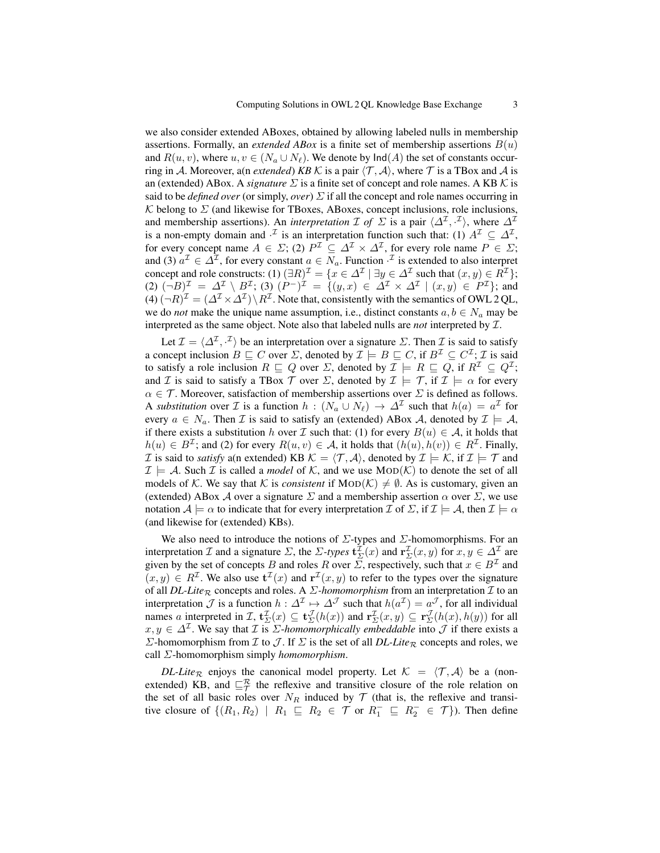we also consider extended ABoxes, obtained by allowing labeled nulls in membership assertions. Formally, an *extended ABox* is a finite set of membership assertions  $B(u)$ and  $R(u, v)$ , where  $u, v \in (N_a \cup N_\ell)$ . We denote by  $\text{Ind}(A)$  the set of constants occurring in A. Moreover, a(n *extended*) *KB* K is a pair  $\langle T, \mathcal{A} \rangle$ , where T is a TBox and A is an (extended) ABox. A *signature*  $\Sigma$  is a finite set of concept and role names. A KB  $\mathcal K$  is said to be *defined over* (or simply, *over*)  $\Sigma$  if all the concept and role names occurring in K belong to  $\Sigma$  (and likewise for TBoxes, ABoxes, concept inclusions, role inclusions, and membership assertions). An *interpretation*  $\mathcal I$  of  $\Sigma$  is a pair  $\langle \Delta^{\mathcal I}, \cdot^{\mathcal I} \rangle$ , where  $\Delta^{\mathcal I}$ is a non-empty domain and  $\cdot^{\mathcal{I}}$  is an interpretation function such that: (1)  $A^{\mathcal{I}} \subseteq \Delta^{\mathcal{I}}$ , for every concept name  $A \in \Sigma$ ; (2)  $P^{\mathcal{I}} \subseteq \Delta^{\mathcal{I}} \times \Delta^{\mathcal{I}}$ , for every role name  $P \in \Sigma$ ; and (3)  $a^{\mathcal{I}} \in \Delta^{\mathcal{I}}$ , for every constant  $a \in N_a$ . Function  $\cdot^{\mathcal{I}}$  is extended to also interpret concept and role constructs:  $(1) (\exists R)^{\mathcal{I}} = \{x \in \Delta^{\mathcal{I}} \mid \exists y \in \Delta^{\mathcal{I}} \text{ such that } (x, y) \in R^{\mathcal{I}}\};$  $(2)$   $(\neg B)^{\mathcal{I}} = \Delta^{\mathcal{I}} \setminus B^{\mathcal{I}}$ ;  $(3)$   $(P^{-})^{\mathcal{I}} = \{(y, x) \in \Delta^{\mathcal{I}} \times \Delta^{\mathcal{I}} \mid (x, y) \in P^{\mathcal{I}}\}$ ; and  $(4)$   $(\neg R)^{\mathcal{I}} = (\varDelta^{\mathcal{I}} \times \varDelta^{\mathcal{I}}) \setminus R^{\mathcal{I}}$ . Note that, consistently with the semantics of OWL 2 QL, we do *not* make the unique name assumption, i.e., distinct constants  $a, b \in N_a$  may be interpreted as the same object. Note also that labeled nulls are *not* interpreted by I.

Let  $\mathcal{I} = \langle \Delta^{\mathcal{I}}, \cdot^{\mathcal{I}} \rangle$  be an interpretation over a signature  $\Sigma$ . Then  $\mathcal{I}$  is said to satisfy a concept inclusion  $B \sqsubseteq C$  over  $\Sigma$ , denoted by  $\mathcal{I} \models B \sqsubseteq C$ , if  $B^{\mathcal{I}} \subseteq C^{\mathcal{I}}$ ;  $\mathcal{I}$  is said to satisfy a role inclusion  $R \sqsubseteq Q$  over  $\Sigma$ , denoted by  $\mathcal{I} \models R \sqsubseteq Q$ , if  $R^{\mathcal{I}} \subseteq Q^{\mathcal{I}}$ ; and I is said to satisfy a TBox T over  $\Sigma$ , denoted by  $\mathcal{I} \models \mathcal{T}$ , if  $\mathcal{I} \models \alpha$  for every  $\alpha \in \mathcal{T}$ . Moreover, satisfaction of membership assertions over  $\Sigma$  is defined as follows. A *substitution* over *I* is a function  $h : (N_a \cup N_\ell) \to \Delta^{\mathcal{I}}$  such that  $h(a) = a^{\mathcal{I}}$  for every  $a \in N_a$ . Then  $\mathcal I$  is said to satisfy an (extended) ABox  $\mathcal A$ , denoted by  $\mathcal I \models \mathcal A$ , if there exists a substitution h over  $\mathcal I$  such that: (1) for every  $B(u) \in \mathcal A$ , it holds that  $h(u) \in B<sup>\mathcal{I}</sup>$ ; and (2) for every  $R(u, v) \in \mathcal{A}$ , it holds that  $(h(u), h(v)) \in R<sup>\mathcal{I}</sup>$ . Finally, *I* is said to *satisfy* a(n extended) KB  $K = \langle T, A \rangle$ , denoted by  $I \models K$ , if  $I \models T$  and  $\mathcal{I} \models \mathcal{A}$ . Such  $\mathcal{I}$  is called a *model* of  $\mathcal{K}$ , and we use  $\text{MOD}(\mathcal{K})$  to denote the set of all models of K. We say that K is *consistent* if  $MOD(\mathcal{K}) \neq \emptyset$ . As is customary, given an (extended) ABox A over a signature  $\Sigma$  and a membership assertion  $\alpha$  over  $\Sigma$ , we use notation  $\mathcal{A} \models \alpha$  to indicate that for every interpretation  $\mathcal{I}$  of  $\Sigma$ , if  $\mathcal{I} \models \mathcal{A}$ , then  $\mathcal{I} \models \alpha$ (and likewise for (extended) KBs).

We also need to introduce the notions of  $\Sigma$ -types and  $\Sigma$ -homomorphisms. For an interpretation *I* and a signature  $\Sigma$ , the  $\Sigma$ -types  $\mathbf{t}^{\mathcal{I}}_{\Sigma}(x)$  and  $\mathbf{r}^{\mathcal{I}}_{\Sigma}(x,y)$  for  $x, y \in \Delta^{\mathcal{I}}$  are given by the set of concepts B and roles R over  $\overline{\Sigma}$ , respectively, such that  $x \in B^{\mathcal{I}}$  and  $(x, y) \in R^{\mathcal{I}}$ . We also use  $\mathbf{t}^{\mathcal{I}}(x)$  and  $\mathbf{r}^{\mathcal{I}}(x, y)$  to refer to the types over the signature of all *DL-Lite*<sub>R</sub> concepts and roles. A *Σ*-homomorphism from an interpretation *I* to an interpretation  $\mathcal J$  is a function  $h: \Delta^{\mathcal I} \mapsto \Delta^{\mathcal J}$  such that  $h(a^{\mathcal I}) = a^{\mathcal J}$ , for all individual names a interpreted in  $\mathcal{I}, \mathbf{t}^{\mathcal{I}}_{\Sigma}(x) \subseteq \mathbf{t}^{\mathcal{I}}_{\Sigma}(h(x))$  and  $\mathbf{r}^{\mathcal{I}}_{\Sigma}(x,y) \subseteq \mathbf{r}^{\mathcal{I}}_{\Sigma}(h(x),h(y))$  for all  $x, y \in \Delta^{\mathcal{I}}$ . We say that  $\mathcal I$  is  $\Sigma$ -*homomorphically embeddable* into  $\mathcal J$  if there exists a  $Σ$ -homomorphism from *I* to *J*. If  $Σ$  is the set of all *DL-Lite<sub>R</sub>* concepts and roles, we call Σ-homomorphism simply *homomorphism*.

*DL-Lite*<sub>R</sub> enjoys the canonical model property. Let  $K = \langle T, A \rangle$  be a (nonextended) KB, and  $\sqsubseteq_{\mathcal{T}}^{\mathcal{R}}$  the reflexive and transitive closure of the role relation on the set of all basic roles over  $N_R$  induced by  $\mathcal T$  (that is, the reflexive and transitive closure of  $\{(R_1, R_2) \mid R_1 \subseteq R_2 \in \mathcal{T} \text{ or } R_1^- \subseteq R_2^- \in \mathcal{T}\})$ . Then define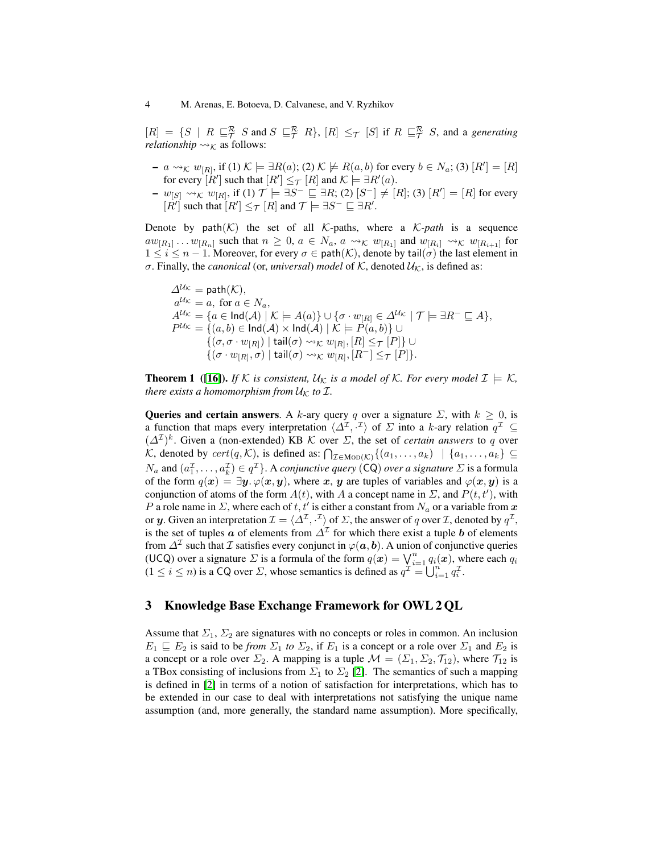#### 4 M. Arenas, E. Botoeva, D. Calvanese, and V. Ryzhikov

 $[R] = \{S \mid R \sqsubseteq_{\mathcal{T}}^{\mathcal{R}} S \text{ and } S \sqsubseteq_{\mathcal{T}}^{\mathcal{R}} R\}, [R] \leq_{\mathcal{T}} [S] \text{ if } R \sqsubseteq_{\mathcal{T}}^{\mathcal{R}} S \text{, and a generating }$ *relationship*  $\rightsquigarrow_K$  as follows:

- $-a \rightsquigarrow_{\mathcal{K}} w_{[R]}$ , if  $(1) \mathcal{K} \models \exists R(a); (2) \mathcal{K} \not\models R(a, b)$  for every  $b \in N_a$ ;  $(3) [R'] = [R]$ for every  $[R']$  such that  $[R'] \leq_{\mathcal{T}} [R]$  and  $\mathcal{K} \models \exists R'(a)$ .
- $w_{[S]} \rightsquigarrow_{\mathcal{K}} w_{[R]}$ , if (1)  $\mathcal{T} \models \exists S^- \sqsubseteq \exists R$ ; (2)  $[S^-] \neq [R]$ ; (3)  $[R'] = [R]$  for every  $[R']$  such that  $[R'] \leq_T [R]$  and  $\mathcal{T} \models \exists S^- \sqsubseteq \exists R'.$

Denote by  $path(K)$  the set of all K-paths, where a K-path is a sequence  $aw_{[R_1]} \dots w_{[R_n]}$  such that  $n \geq 0$ ,  $a \in N_a$ ,  $a \leadsto_{\mathcal{K}} w_{[R_1]}$  and  $w_{[R_i]} \leadsto_{\mathcal{K}} w_{[R_{i+1}]}$  for  $1 \leq i \leq n-1$ . Moreover, for every  $\sigma \in \mathsf{path}(\mathcal{K})$ , denote by tail $(\sigma)$  the last element in σ. Finally, the *canonical* (or, *universal*) *model* of  $K$ , denoted  $U_K$ , is defined as:

 $\Delta^{U_{\mathcal{K}}}$  = path $(\mathcal{K})$ ,  $a^{\mathcal{U}\kappa} = a$ , for  $a \in N_a$ ,  $A^{\mathcal{U}\kappa} = \{a \in \mathsf{Ind}(\mathcal{A}) \mid \mathcal{K} \models A(a)\} \cup \{\sigma \cdot w_{[R]} \in \Delta^{\mathcal{U}\kappa} \mid \mathcal{T} \models \exists R^{-} \sqsubseteq A\},\$  $P^{\mathcal{U} \kappa} = \{(a,b) \in \mathsf{Ind}(\mathcal{A}) \times \mathsf{Ind}(\mathcal{A}) \mid \mathcal{K} \models P(a,b)\} \cup$  $\overline{\{(\sigma,\sigma\cdot w_{[R]}) \mid \mathsf{tail}(\sigma) \rightsquigarrow_{\mathcal{K}} w_{[R]}, [R] \leq_{\mathcal{T}} [P]\}} \cup$  $\{(\sigma \cdot w_{[R]}, \sigma) \mid \mathsf{tail}(\sigma) \leadsto_{\mathcal{K}} w_{[R]}, [R^-] \leq_{\mathcal{T}} [\widetilde{P}]\}.$ 

**Theorem 1** ([16]). *If* K *is consistent,*  $U_K$  *is a model of* K*. For every model*  $\mathcal{I} \models K$ *, there exists a homomorphism from*  $U_K$  *to*  $I$ *.* 

**Queries and certain answers**. A k-ary query q over a signature  $\Sigma$ , with  $k \geq 0$ , is a function that maps every interpretation  $\langle \Delta^{\mathcal{I}}, \cdot^{\mathcal{I}} \rangle$  of  $\Sigma$  into a k-ary relation  $q^{\mathcal{I}} \subseteq$  $(\Delta^{\mathcal{I}})^k$ . Given a (non-extended) KB K over  $\Sigma$ , the set of *certain answers* to q over K, denoted by  $cert(q, K)$ , is defined as:  $\bigcap_{\mathcal{I} \in \text{MOD}(K)} \{(a_1, \ldots, a_k) \mid \{a_1, \ldots, a_k\} \subseteq$  $N_a$  and  $(a_1^{\mathcal{I}}, \ldots, a_k^{\mathcal{I}}) \in q^{\mathcal{I}}\}$ . A *conjunctive query* (CQ) *over a signature*  $\Sigma$  is a formula of the form  $q(x) = \exists y \cdot \varphi(x, y)$ , where x, y are tuples of variables and  $\varphi(x, y)$  is a conjunction of atoms of the form  $A(t)$ , with A a concept name in  $\Sigma$ , and  $P(t, t')$ , with P a role name in  $\Sigma$ , where each of t, t' is either a constant from  $N_a$  or a variable from x or y. Given an interpretation  $\mathcal{I} = \langle \Delta^{\mathcal{I}}, \cdot^{\mathcal{I}} \rangle$  of  $\Sigma$ , the answer of q over  $\mathcal{I}$ , denoted by  $q^{\mathcal{I}}$ , is the set of tuples  $\boldsymbol{a}$  of elements from  $\Delta^{\mathcal{I}}$  for which there exist a tuple  $\boldsymbol{b}$  of elements from  $\varDelta^{\mathcal{I}}$  such that  $\mathcal I$  satisfies every conjunct in  $\varphi({\bm{a}},{\bm{b}}).$  A union of conjunctive queries (UCQ) over a signature  $\Sigma$  is a formula of the form  $q(\bm{x}) = \bigvee_{i=1}^{n} q_i(\bm{x})$ , where each  $q_i$  $(1 \le i \le n)$  is a CQ over  $\Sigma$ , whose semantics is defined as  $q^{\mathcal{I}} = \bigcup_{i=1}^{n} q_i^{\mathcal{I}}$ .

#### 3 Knowledge Base Exchange Framework for OWL 2 QL

Assume that  $\Sigma_1$ ,  $\Sigma_2$  are signatures with no concepts or roles in common. An inclusion  $E_1 \subseteq E_2$  is said to be *from*  $\Sigma_1$  *to*  $\Sigma_2$ , if  $E_1$  is a concept or a role over  $\Sigma_1$  and  $E_2$  is a concept or a role over  $\Sigma_2$ . A mapping is a tuple  $\mathcal{M} = (\Sigma_1, \Sigma_2, \mathcal{T}_{12})$ , where  $\mathcal{T}_{12}$  is a TBox consisting of inclusions from  $\Sigma_1$  to  $\Sigma_2$  [2]. The semantics of such a mapping is defined in [2] in terms of a notion of satisfaction for interpretations, which has to be extended in our case to deal with interpretations not satisfying the unique name assumption (and, more generally, the standard name assumption). More specifically,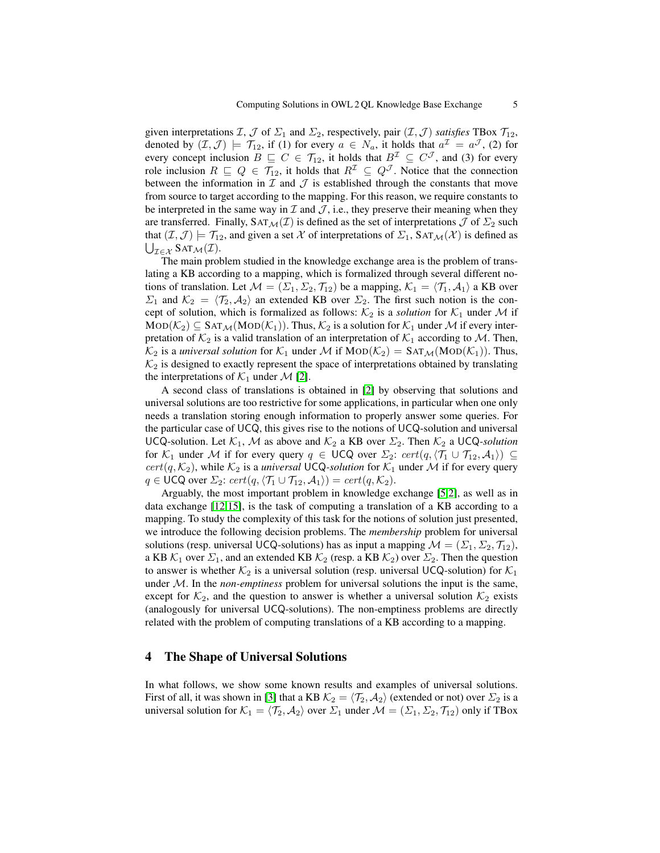given interpretations  $\mathcal{I}, \mathcal{J}$  of  $\Sigma_1$  and  $\Sigma_2$ , respectively, pair  $(\mathcal{I}, \mathcal{J})$  *satisfies* TBox  $\mathcal{T}_{12}$ , denoted by  $(\mathcal{I}, \mathcal{J}) \models \mathcal{T}_{12}$ , if (1) for every  $a \in N_a$ , it holds that  $a^{\mathcal{I}} = a^{\mathcal{J}}$ , (2) for every concept inclusion  $B \subseteq C \in \mathcal{T}_{12}$ , it holds that  $B^{\mathcal{I}} \subseteq C^{\mathcal{J}}$ , and (3) for every role inclusion  $R \subseteq Q \in \mathcal{T}_{12}$ , it holds that  $R^{\mathcal{I}} \subseteq Q^{\mathcal{J}}$ . Notice that the connection between the information in  $\mathcal I$  and  $\mathcal J$  is established through the constants that move from source to target according to the mapping. For this reason, we require constants to be interpreted in the same way in  $\mathcal I$  and  $\mathcal J$ , i.e., they preserve their meaning when they are transferred. Finally,  $SAT_{\mathcal{M}}(\mathcal{I})$  is defined as the set of interpretations  $\mathcal{I}$  of  $\Sigma_2$  such that  $(\mathcal{I},\mathcal{J}) \models \mathcal{T}_{12}$ , and given a set X of interpretations of  $\Sigma_1$ , SAT $\mathcal{M}(\mathcal{X})$  is defined as  $\bigcup_{\mathcal{I}\in\mathcal{X}}\text{SAT}_{\mathcal{M}}(\mathcal{I}).$ 

The main problem studied in the knowledge exchange area is the problem of translating a KB according to a mapping, which is formalized through several different notions of translation. Let  $\mathcal{M} = (\Sigma_1, \Sigma_2, \mathcal{T}_{12})$  be a mapping,  $\mathcal{K}_1 = \langle \mathcal{T}_1, \mathcal{A}_1 \rangle$  a KB over  $\Sigma_1$  and  $\mathcal{K}_2 = \langle \mathcal{T}_2, \mathcal{A}_2 \rangle$  an extended KB over  $\Sigma_2$ . The first such notion is the concept of solution, which is formalized as follows:  $\mathcal{K}_2$  is a *solution* for  $\mathcal{K}_1$  under M if  $MOD(\mathcal{K}_2) \subseteq SAT_{\mathcal{M}}(MOD(\mathcal{K}_1))$ . Thus,  $\mathcal{K}_2$  is a solution for  $\mathcal{K}_1$  under  $\mathcal{M}$  if every interpretation of  $K_2$  is a valid translation of an interpretation of  $K_1$  according to M. Then,  $\mathcal{K}_2$  is a *universal solution* for  $\mathcal{K}_1$  under M if  $\text{MOD}(\mathcal{K}_2) = \text{SAT}_\mathcal{M}(\text{MOD}(\mathcal{K}_1))$ . Thus,  $\mathcal{K}_2$  is designed to exactly represent the space of interpretations obtained by translating the interpretations of  $\mathcal{K}_1$  under  $\mathcal{M}$  [2].

A second class of translations is obtained in [2] by observing that solutions and universal solutions are too restrictive for some applications, in particular when one only needs a translation storing enough information to properly answer some queries. For the particular case of UCQ, this gives rise to the notions of UCQ-solution and universal UCQ-solution. Let  $K_1$ , M as above and  $K_2$  a KB over  $\Sigma_2$ . Then  $K_2$  a UCQ-solution for  $\mathcal{K}_1$  under M if for every query  $q \in \mathsf{UCQ}$  over  $\Sigma_2$ :  $cert(q,\langle \mathcal{T}_1 \cup \mathcal{T}_{12}, \mathcal{A}_1 \rangle) \subseteq$  $cert(q, \mathcal{K}_2)$ , while  $\mathcal{K}_2$  is a *universal* UCQ-solution for  $\mathcal{K}_1$  under M if for every query  $q \in \text{UCQ over }\Sigma_2$ : cert $(q, \langle \mathcal{T}_1 \cup \mathcal{T}_{12}, \mathcal{A}_1 \rangle) = cert(q, \mathcal{K}_2).$ 

Arguably, the most important problem in knowledge exchange [5,2], as well as in data exchange [12,15], is the task of computing a translation of a KB according to a mapping. To study the complexity of this task for the notions of solution just presented, we introduce the following decision problems. The *membership* problem for universal solutions (resp. universal UCQ-solutions) has as input a mapping  $\mathcal{M} = (\Sigma_1, \Sigma_2, \mathcal{T}_{12}),$ a KB  $K_1$  over  $\Sigma_1$ , and an extended KB  $K_2$  (resp. a KB  $K_2$ ) over  $\Sigma_2$ . Then the question to answer is whether  $\mathcal{K}_2$  is a universal solution (resp. universal UCQ-solution) for  $\mathcal{K}_1$ under M. In the *non-emptiness* problem for universal solutions the input is the same, except for  $\mathcal{K}_2$ , and the question to answer is whether a universal solution  $\mathcal{K}_2$  exists (analogously for universal UCQ-solutions). The non-emptiness problems are directly related with the problem of computing translations of a KB according to a mapping.

#### 4 The Shape of Universal Solutions

In what follows, we show some known results and examples of universal solutions. First of all, it was shown in [3] that a KB  $\mathcal{K}_2 = \langle \mathcal{T}_2, \mathcal{A}_2 \rangle$  (extended or not) over  $\Sigma_2$  is a universal solution for  $\mathcal{K}_1 = \langle \mathcal{T}_2, \mathcal{A}_2 \rangle$  over  $\Sigma_1$  under  $\mathcal{M} = (\Sigma_1, \Sigma_2, \mathcal{T}_{12})$  only if TBox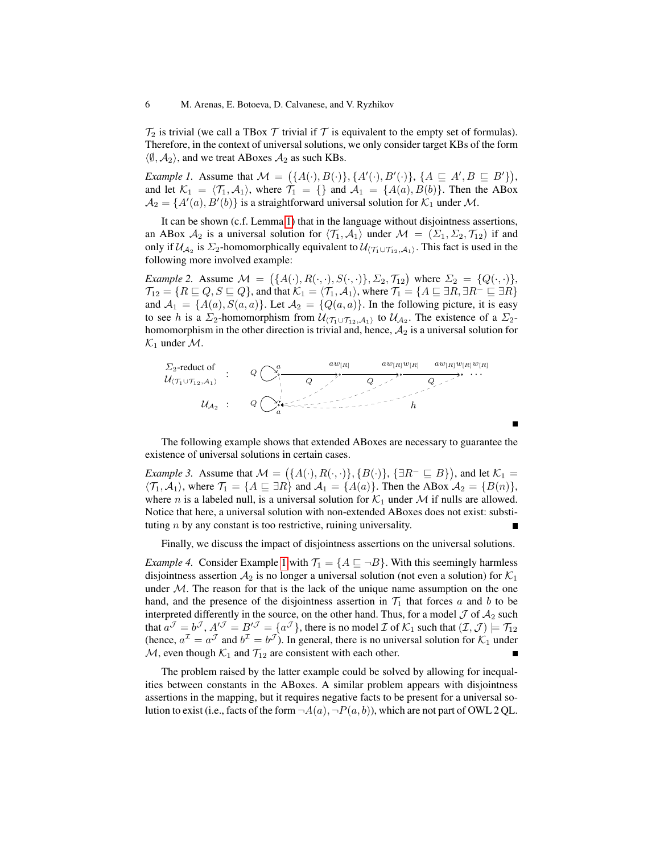$\mathcal{T}_2$  is trivial (we call a TBox  $\mathcal T$  trivial if  $\mathcal T$  is equivalent to the empty set of formulas). Therefore, in the context of universal solutions, we only consider target KBs of the form  $\langle \emptyset, A_2 \rangle$ , and we treat ABoxes  $A_2$  as such KBs.

*Example 1.* Assume that  $\mathcal{M} = (\{A(\cdot), B(\cdot)\}, \{A'(\cdot), B'(\cdot)\}, \{A \sqsubseteq A', B \sqsubseteq B'\}),$ and let  $\mathcal{K}_1 = \langle \mathcal{T}_1, \mathcal{A}_1 \rangle$ , where  $\mathcal{T}_1 = {\}$  and  $\mathcal{A}_1 = \{A(a), B(b)\}.$  Then the ABox  $A_2 = \{A'(a), B'(b)\}\$ is a straightforward universal solution for  $\mathcal{K}_1$  under M.

It can be shown (c.f. Lemma 1) that in the language without disjointness assertions, an ABox  $A_2$  is a universal solution for  $\langle \mathcal{T}_1, A_1 \rangle$  under  $\mathcal{M} = (\Sigma_1, \Sigma_2, \mathcal{T}_{12})$  if and only if  $\mathcal{U}_{\mathcal{A}_2}$  is  $\Sigma_2$ -homomorphically equivalent to  $\mathcal{U}_{\langle \mathcal{T}_1 \cup \mathcal{T}_{12},\mathcal{A}_1\rangle}$ . This fact is used in the following more involved example:

*Example 2.* Assume  $\mathcal{M} = (\{A(\cdot), R(\cdot, \cdot), S(\cdot, \cdot)\}, \Sigma_2, \mathcal{T}_{12})$  where  $\Sigma_2 = \{Q(\cdot, \cdot)\},$  $\mathcal{T}_{12} = \{R \sqsubseteq Q, S \sqsubseteq Q\}$ , and that  $\mathcal{K}_1 = \langle \mathcal{T}_1, \mathcal{A}_1 \rangle$ , where  $\mathcal{T}_1 = \{A \sqsubseteq \exists R, \exists R^- \sqsubseteq \exists R\}$ and  $A_1 = \{A(a), S(a, a)\}\$ . Let  $A_2 = \{Q(a, a)\}\$ . In the following picture, it is easy to see h is a  $\Sigma_2$ -homomorphism from  $\mathcal{U}_{(\mathcal{T}_1 \cup \mathcal{T}_{12}, \mathcal{A}_1)}$  to  $\mathcal{U}_{\mathcal{A}_2}$ . The existence of a  $\Sigma_2$ homomorphism in the other direction is trivial and, hence,  $A_2$  is a universal solution for  $\mathcal{K}_1$  under  $\mathcal{M}$ .



The following example shows that extended ABoxes are necessary to guarantee the existence of universal solutions in certain cases.

*Example 3.* Assume that  $M = (\{A(\cdot), R(\cdot, \cdot)\}, \{B(\cdot)\}, \{\exists R^{-} \sqsubseteq B\})$ , and let  $\mathcal{K}_1 =$  $\langle \mathcal{T}_1, \mathcal{A}_1 \rangle$ , where  $\mathcal{T}_1 = \{A \sqsubseteq \exists R\}$  and  $\mathcal{A}_1 = \{A(a)\}\$ . Then the ABox  $\mathcal{A}_2 = \{B(n)\}\$ , where *n* is a labeled null, is a universal solution for  $K_1$  under *M* if nulls are allowed. Notice that here, a universal solution with non-extended ABoxes does not exist: substituting n by any constant is too restrictive, ruining universality.

Finally, we discuss the impact of disjointness assertions on the universal solutions.

*Example 4.* Consider Example 1 with  $\mathcal{T}_1 = \{A \sqsubseteq \neg B\}$ . With this seemingly harmless disjointness assertion  $A_2$  is no longer a universal solution (not even a solution) for  $K_1$ under  $M$ . The reason for that is the lack of the unique name assumption on the one hand, and the presence of the disjointness assertion in  $\mathcal{T}_1$  that forces a and b to be interpreted differently in the source, on the other hand. Thus, for a model  $J$  of  $A_2$  such that  $a^{\mathcal{J}} = b^{\mathcal{J}}$ ,  $A'^{\mathcal{J}} = B'^{\mathcal{J}} = \{a^{\mathcal{J}}\}$ , there is no model  $\mathcal{I}$  of  $\mathcal{K}_1$  such that  $(\mathcal{I}, \mathcal{J}) \models \mathcal{T}_{12}$ (hence,  $a^{\mathcal{I}} = a^{\mathcal{J}}$  and  $b^{\mathcal{I}} = b^{\mathcal{J}}$ ). In general, there is no universal solution for  $\mathcal{K}_1$  under  $M$ , even though  $K_1$  and  $T_{12}$  are consistent with each other.

The problem raised by the latter example could be solved by allowing for inequalities between constants in the ABoxes. A similar problem appears with disjointness assertions in the mapping, but it requires negative facts to be present for a universal solution to exist (i.e., facts of the form  $\neg A(a), \neg P(a, b)$ ), which are not part of OWL 2 QL.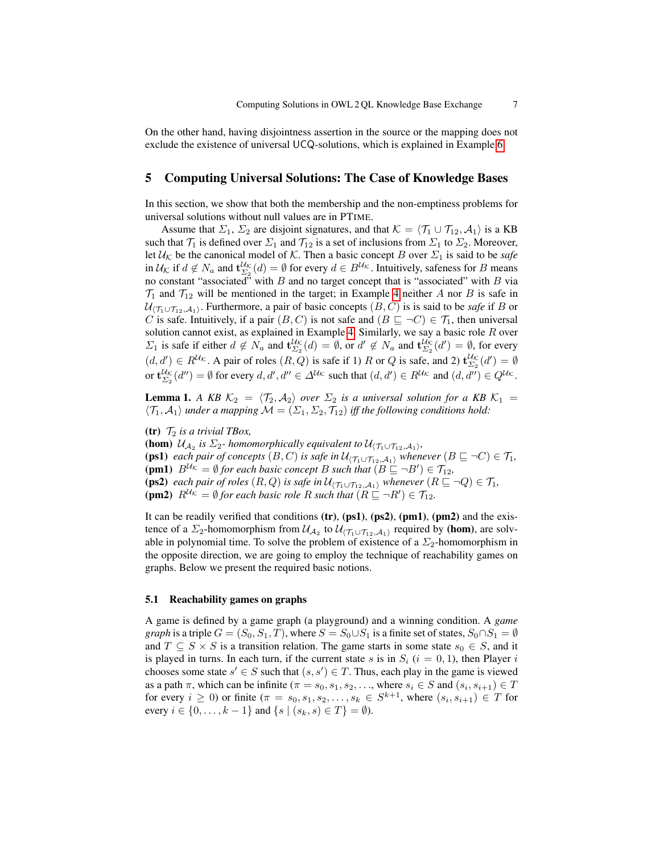On the other hand, having disjointness assertion in the source or the mapping does not exclude the existence of universal UCQ-solutions, which is explained in Example 6.

#### 5 Computing Universal Solutions: The Case of Knowledge Bases

In this section, we show that both the membership and the non-emptiness problems for universal solutions without null values are in PTIME.

Assume that  $\Sigma_1$ ,  $\Sigma_2$  are disjoint signatures, and that  $\mathcal{K} = \langle \mathcal{T}_1 \cup \mathcal{T}_{12}, \mathcal{A}_1 \rangle$  is a KB such that  $\mathcal{T}_1$  is defined over  $\Sigma_1$  and  $\mathcal{T}_{12}$  is a set of inclusions from  $\Sigma_1$  to  $\Sigma_2$ . Moreover, let  $\mathcal{U}_{\mathcal{K}}$  be the canonical model of  $\mathcal{K}$ . Then a basic concept B over  $\Sigma_1$  is said to be *safe* in  $\mathcal{U}_{\mathcal{K}}$  if  $d \notin N_a$  and  $\mathbf{t}_{\Sigma_2}^{\mathcal{U}_{\mathcal{K}}}(d) = \emptyset$  for every  $d \in B^{\mathcal{U}_{\mathcal{K}}}$ . Intuitively, safeness for B means no constant "associated" with  $B$  and no target concept that is "associated" with  $B$  via  $\mathcal{T}_1$  and  $\mathcal{T}_{12}$  will be mentioned in the target; in Example 4 neither A nor B is safe in  $\mathcal{U}_{(\mathcal{T}_1\cup\mathcal{T}_{12},\mathcal{A}_1)}$ . Furthermore, a pair of basic concepts  $(B,C)$  is is said to be *safe* if B or C is safe. Intuitively, if a pair  $(B, C)$  is not safe and  $(B \sqsubseteq \neg C) \in \mathcal{T}_1$ , then universal solution cannot exist, as explained in Example 4. Similarly, we say a basic role  $R$  over  $\Sigma_1$  is safe if either  $d \notin N_a$  and  $\mathbf{t}_{\Sigma_2}^{U_K}(d) = \emptyset$ , or  $d' \notin N_a$  and  $\mathbf{t}_{\Sigma_2}^{U_K}(d') = \emptyset$ , for every  $(d, d') \in R^{\mathcal{U}_{\mathcal{K}}}$ . A pair of roles  $(R, Q)$  is safe if 1) R or Q is safe, and 2)  $\mathbf{t}_{\Sigma_2}^{\mathcal{U}_{\mathcal{K}}}(d') = \emptyset$ or  $\mathbf{t}_{\Sigma_2}^{U_K}(d'') = \emptyset$  for every  $d, d', d'' \in \Delta^{U_K}$  such that  $(d, d') \in R^{U_K}$  and  $(d, d'') \in Q^{U_K}$ .

**Lemma 1.** *A KB*  $K_2 = \langle T_2, A_2 \rangle$  *over*  $\Sigma_2$  *is a universal solution for a KB*  $K_1$  =  $\langle \mathcal{T}_1, \mathcal{A}_1 \rangle$  *under a mapping*  $\mathcal{M} = (\Sigma_1, \Sigma_2, \mathcal{T}_{12})$  *iff the following conditions hold:* 

(tr)  $\mathcal{T}_2$  *is a trivial TBox,* 

(hom)  $\mathcal{U}_{\mathcal{A}_2}$  is  $\Sigma_2$ - homomorphically equivalent to  $\mathcal{U}_{\langle \mathcal{T}_1 \cup \mathcal{T}_{12}, \mathcal{A}_1 \rangle}$ , (ps1) *each pair of concepts*  $(B, C)$  *is safe in*  $\mathcal{U}_{(\mathcal{T}_1 \cup \mathcal{T}_{12}, \mathcal{A}_1)}$  *whenever*  $(B \sqsubseteq \neg C) \in \mathcal{T}_1$ *,* (pm1)  $B^{U_{\mathcal{K}}} = \emptyset$  *for each basic concept B such that*  $(B \subseteq \neg B') \in \mathcal{T}_{12}$ *,* (ps2) *each pair of roles*  $(R, Q)$  *is safe in*  $\mathcal{U}_{(\mathcal{T}_1 \cup \mathcal{T}_{12}, \mathcal{A}_1)}$  *whenever*  $(R \sqsubseteq \neg Q) \in \mathcal{T}_1$ *,* (pm2)  $R^{U_{\mathcal{K}}} = \emptyset$  *for each basic role* R *such that*  $(R \sqsubseteq \neg R') \in \mathcal{T}_{12}$ *.* 

It can be readily verified that conditions  $(tr)$ ,  $(ps1)$ ,  $(ps2)$ ,  $(pm1)$ ,  $(pm2)$  and the existence of a  $\Sigma_2$ -homomorphism from  $\mathcal{U}_{\mathcal{A}_2}$  to  $\mathcal{U}_{(\mathcal{T}_1 \cup \mathcal{T}_{12},\mathcal{A}_1)}$  required by (hom), are solvable in polynomial time. To solve the problem of existence of a  $\Sigma_2$ -homomorphism in the opposite direction, we are going to employ the technique of reachability games on graphs. Below we present the required basic notions.

#### 5.1 Reachability games on graphs

A game is defined by a game graph (a playground) and a winning condition. A *game graph* is a triple  $G = (S_0, S_1, T)$ , where  $S = S_0 \cup S_1$  is a finite set of states,  $S_0 \cap S_1 = \emptyset$ and  $T \subseteq S \times S$  is a transition relation. The game starts in some state  $s_0 \in S$ , and it is played in turns. In each turn, if the current state s is in  $S_i$  ( $i = 0, 1$ ), then Player i chooses some state  $s' \in S$  such that  $(s, s') \in T$ . Thus, each play in the game is viewed as a path  $\pi$ , which can be infinite ( $\pi = s_0, s_1, s_2, \ldots$ , where  $s_i \in S$  and  $(s_i, s_{i+1}) \in T$ for every  $i \geq 0$ ) or finite  $(\pi = s_0, s_1, s_2, \ldots, s_k \in S^{k+1}$ , where  $(s_i, s_{i+1}) \in T$  for every  $i \in \{0, ..., k-1\}$  and  $\{s \mid (s_k, s) \in T\} = \emptyset$ ).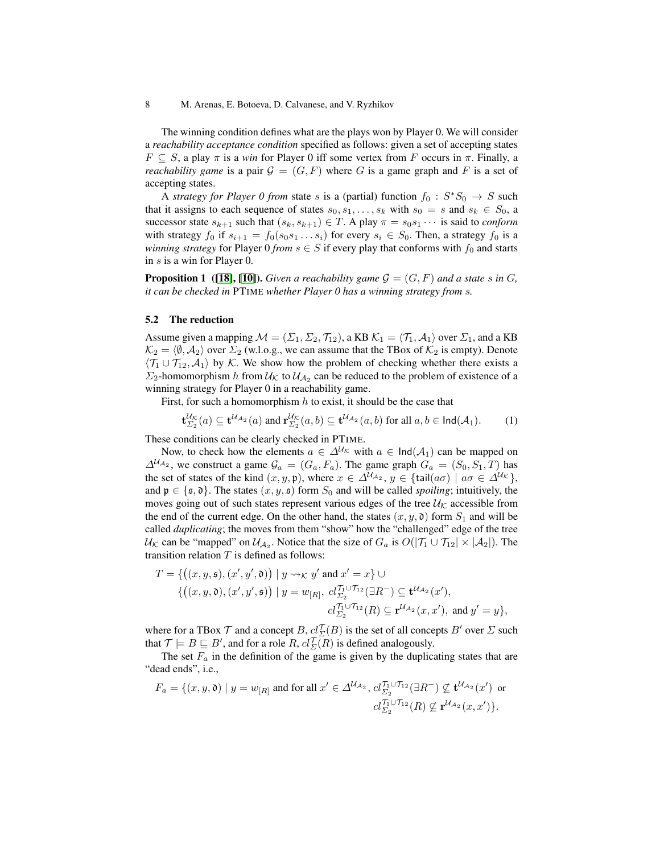8 M. Arenas, E. Botoeva, D. Calvanese, and V. Ryzhikov

The winning condition defines what are the plays won by Player 0. We will consider a *reachability acceptance condition* specified as follows: given a set of accepting states  $F \subseteq S$ , a play  $\pi$  is a *win* for Player 0 iff some vertex from F occurs in  $\pi$ . Finally, a *reachability game* is a pair  $G = (G, F)$  where G is a game graph and F is a set of accepting states.

A *strategy for Player 0 from* state s is a (partial) function  $f_0$ :  $S^*S_0 \rightarrow S$  such that it assigns to each sequence of states  $s_0, s_1, \ldots, s_k$  with  $s_0 = s$  and  $s_k \in S_0$ , a successor state  $s_{k+1}$  such that  $(s_k, s_{k+1}) \in T$ . A play  $\pi = s_0 s_1 \cdots$  is said to *conform* with strategy  $f_0$  if  $s_{i+1} = f_0(s_0s_1 \ldots s_i)$  for every  $s_i \in S_0$ . Then, a strategy  $f_0$  is a *winning strategy* for Player  $0$  *from*  $s \in S$  if every play that conforms with  $f_0$  and starts in s is a win for Player 0.

**Proposition 1** ([18], [10]). *Given a reachability game*  $\mathcal{G} = (G, F)$  *and a state s in G, it can be checked in* PTIME *whether Player 0 has a winning strategy from* s*.*

#### 5.2 The reduction

Assume given a mapping  $M = (\Sigma_1, \Sigma_2, \mathcal{T}_{12})$ , a KB  $\mathcal{K}_1 = \langle \mathcal{T}_1, \mathcal{A}_1 \rangle$  over  $\Sigma_1$ , and a KB  $\mathcal{K}_2 = \langle \emptyset, \mathcal{A}_2 \rangle$  over  $\Sigma_2$  (w.l.o.g., we can assume that the TBox of  $\mathcal{K}_2$  is empty). Denote  $\langle \mathcal{T}_1 \cup \mathcal{T}_{12}, \mathcal{A}_1 \rangle$  by K. We show how the problem of checking whether there exists a  $\Sigma_2$ -homomorphism h from  $\mathcal{U}_{\mathcal{K}}$  to  $\mathcal{U}_{\mathcal{A}_2}$  can be reduced to the problem of existence of a winning strategy for Player 0 in a reachability game.

First, for such a homomorphism  $h$  to exist, it should be the case that

 $\overline{u}$ 

$$
\mathbf{t}_{\Sigma_2}^{\mathcal{U}_{\mathcal{K}}}(a) \subseteq \mathbf{t}^{\mathcal{U}_{\mathcal{A}_2}}(a) \text{ and } \mathbf{r}_{\Sigma_2}^{\mathcal{U}_{\mathcal{K}}}(a,b) \subseteq \mathbf{t}^{\mathcal{U}_{\mathcal{A}_2}}(a,b) \text{ for all } a,b \in \mathsf{Ind}(\mathcal{A}_1). \tag{1}
$$

These conditions can be clearly checked in PTIME.

Now, to check how the elements  $a \in \Delta^{U_{\mathcal{K}}}$  with  $a \in \text{Ind}(\mathcal{A}_1)$  can be mapped on  $\Delta^{U_{A_2}}$ , we construct a game  $\mathcal{G}_a = (G_a, F_a)$ . The game graph  $G_a = (S_0, S_1, T)$  has the set of states of the kind  $(x, y, \mathfrak{p})$ , where  $x \in \Delta^{\mathcal{U}_{\mathcal{A}_2}}$ ,  $y \in \{\text{tail}(a\sigma) \mid a\sigma \in \Delta^{\mathcal{U}_{\mathcal{K}}}\}\$ , and  $\mathfrak{p} \in {\mathfrak{s}, \mathfrak{d}}$ . The states  $(x, y, \mathfrak{s})$  form  $S_0$  and will be called *spoiling*; intuitively, the moves going out of such states represent various edges of the tree  $\mathcal{U}_{\mathcal{K}}$  accessible from the end of the current edge. On the other hand, the states  $(x, y, \mathfrak{d})$  form  $S_1$  and will be called *duplicating*; the moves from them "show" how the "challenged" edge of the tree  $\mathcal{U}_{\mathcal{K}}$  can be "mapped" on  $\mathcal{U}_{\mathcal{A}_2}$ . Notice that the size of  $G_a$  is  $O(|\mathcal{T}_1 \cup \mathcal{T}_{12}| \times |\mathcal{A}_2|)$ . The transition relation  $T$  is defined as follows:

$$
T = \{ \left( (x, y, \mathfrak{s}), (x', y', \mathfrak{d}) \right) \mid y \leadsto_{\mathcal{K}} y' \text{ and } x' = x \} \cup \n\left\{ \left( (x, y, \mathfrak{d}), (x', y', \mathfrak{s}) \right) \mid y = w_{[R]}, \ cl_{\Sigma_2}^{T_1 \cup \mathcal{T}_{12}} (\exists R^-) \subseteq \mathbf{t}^{\mathcal{U}_{A_2}}(x'), \n\quad \ \ cl_{\Sigma_2}^{T_1 \cup \mathcal{T}_{12}}(R) \subseteq \mathbf{r}^{\mathcal{U}_{A_2}}(x, x'), \text{ and } y' = y \},
$$

where for a TBox  $\mathcal T$  and a concept  $B, \underline{cl}^{\mathcal T}_\Sigma(B)$  is the set of all concepts  $B'$  over  $\Sigma$  such that  $\mathcal{T} \models B \sqsubseteq B'$ , and for a role  $R$ ,  $cl_{\Sigma}^{\mathcal{T}}(R)$  is defined analogously.

The set  $F_a$  in the definition of the game is given by the duplicating states that are "dead ends", i.e.,

$$
F_a = \{(x, y, \mathfrak{d}) \mid y = w_{[R]} \text{ and for all } x' \in \Delta^{\mathcal{U}_{\mathcal{A}_2}}, cl_{\Sigma_2}^{\mathcal{T}_1 \cup \mathcal{T}_{12}}(\exists R^-) \not\subseteq \mathbf{t}^{\mathcal{U}_{\mathcal{A}_2}}(x') \text{ or } cl_{\Sigma_2}^{\mathcal{T}_1 \cup \mathcal{T}_{12}}(R) \not\subseteq \mathbf{r}^{\mathcal{U}_{\mathcal{A}_2}}(x, x')\}.
$$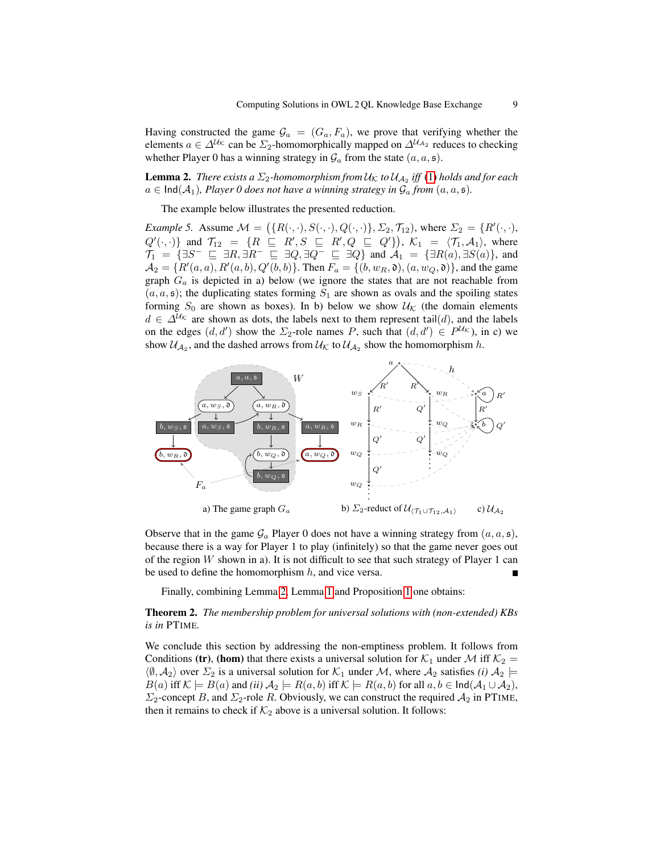Having constructed the game  $\mathcal{G}_a = (G_a, F_a)$ , we prove that verifying whether the elements  $a \in \Delta^{U_{\mathcal{K}}}$  can be  $\Sigma_2$ -homomorphically mapped on  $\Delta^{U_{\mathcal{A}_2}}$  reduces to checking whether Player 0 has a winning strategy in  $\mathcal{G}_a$  from the state  $(a, a, \mathfrak{s})$ .

**Lemma 2.** There exists a  $\Sigma_2$ -homomorphism from  $\mathcal{U}_\mathcal{K}$  to  $\mathcal{U}_{\mathcal{A}_2}$  iff (1) holds and for each  $a \in \text{Ind}(\mathcal{A}_1)$ *, Player 0 does not have a winning strategy in*  $\mathcal{G}_a$  *from*  $(a, a, \mathfrak{s})$ *.* 

The example below illustrates the presented reduction.

*Example 5.* Assume  $M = (\{R(\cdot, \cdot), S(\cdot, \cdot), Q(\cdot, \cdot)\}, \Sigma_2, \mathcal{T}_{12})$ , where  $\Sigma_2 = \{R'(\cdot, \cdot), R(\cdot, \cdot)\}$  $Q'(\cdot, \cdot)$  and  $\mathcal{T}_{12} = \{R \sqsubseteq R', S \sqsubseteq R', Q \sqsubseteq Q'\}$ ,  $\mathcal{K}_1 = \langle \mathcal{T}_1, \mathcal{A}_1 \rangle$ , where  $\mathcal{T}_1$  =  $\{ \exists S^- \sqsubseteq \exists R, \exists R^- \sqsubseteq \exists Q, \exists Q^- \sqsubseteq \exists Q \}$  and  $\mathcal{A}_1$  =  $\{ \exists R(a), \exists S(a) \},$  and  $A_2 = \{R'(a, a), R'(a, b), Q'(b, b)\}.$  Then  $F_a = \{(b, w_R, \mathfrak{d}), (a, w_Q, \mathfrak{d})\}$ , and the game graph  $G_a$  is depicted in a) below (we ignore the states that are not reachable from  $(a, a, \mathfrak{s})$ ; the duplicating states forming  $S_1$  are shown as ovals and the spoiling states forming  $S_0$  are shown as boxes). In b) below we show  $\mathcal{U}_{\mathcal{K}}$  (the domain elements  $d \in \Delta^{U_{\mathcal{K}}}$  are shown as dots, the labels next to them represent tail(d), and the labels on the edges  $(d, d')$  show the  $\Sigma_2$ -role names P, such that  $(d, d') \in P^{\mathcal{U}_{\mathcal{K}}}$ , in c) we show  $\mathcal{U}_{\mathcal{A}_2}$ , and the dashed arrows from  $\mathcal{U}_{\mathcal{K}}$  to  $\mathcal{U}_{\mathcal{A}_2}$  show the homomorphism h.



Observe that in the game  $\mathcal{G}_a$  Player 0 does not have a winning strategy from  $(a, a, \mathfrak{s})$ , because there is a way for Player 1 to play (infinitely) so that the game never goes out of the region  $W$  shown in a). It is not difficult to see that such strategy of Player 1 can be used to define the homomorphism  $h$ , and vice versa.

Finally, combining Lemma 2, Lemma 1 and Proposition 1 one obtains:

Theorem 2. *The membership problem for universal solutions with (non-extended) KBs is in* PTIME*.*

We conclude this section by addressing the non-emptiness problem. It follows from Conditions (tr), (hom) that there exists a universal solution for  $\mathcal{K}_1$  under M iff  $\mathcal{K}_2$  =  $\langle \emptyset, A_2 \rangle$  over  $\Sigma_2$  is a universal solution for  $\mathcal{K}_1$  under M, where  $A_2$  satisfies *(i)*  $A_2 \models$  $B(a)$  iff  $\mathcal{K} \models B(a)$  and *(ii)*  $\mathcal{A}_2 \models R(a, b)$  iff  $\mathcal{K} \models R(a, b)$  for all  $a, b \in \text{Ind}(\mathcal{A}_1 \cup \mathcal{A}_2)$ ,  $\Sigma_2$ -concept B, and  $\Sigma_2$ -role R. Obviously, we can construct the required  $\mathcal{A}_2$  in PTIME, then it remains to check if  $K_2$  above is a universal solution. It follows: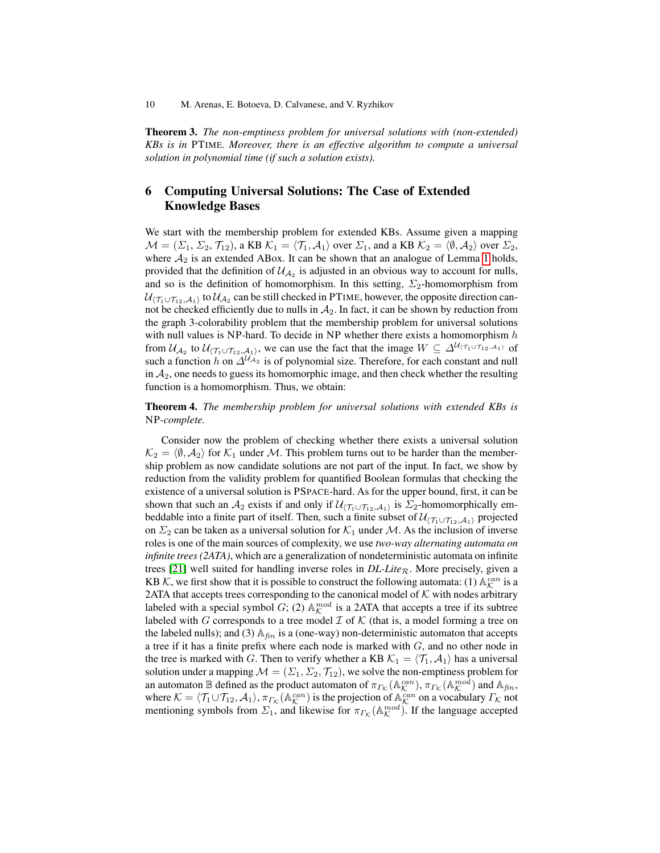Theorem 3. *The non-emptiness problem for universal solutions with (non-extended) KBs is in* PTIME*. Moreover, there is an effective algorithm to compute a universal solution in polynomial time (if such a solution exists).*

#### 6 Computing Universal Solutions: The Case of Extended Knowledge Bases

We start with the membership problem for extended KBs. Assume given a mapping  $\mathcal{M} = (\Sigma_1, \Sigma_2, \mathcal{T}_{12}),$  a KB  $\mathcal{K}_1 = \langle \mathcal{T}_1, \mathcal{A}_1 \rangle$  over  $\Sigma_1$ , and a KB  $\mathcal{K}_2 = \langle \emptyset, \mathcal{A}_2 \rangle$  over  $\Sigma_2$ , where  $A_2$  is an extended ABox. It can be shown that an analogue of Lemma 1 holds, provided that the definition of  $\mathcal{U}_{A_2}$  is adjusted in an obvious way to account for nulls, and so is the definition of homomorphism. In this setting,  $\Sigma_2$ -homomorphism from  $\mathcal{U}_{(\mathcal{T}_1\cup\mathcal{T}_{12},\mathcal{A}_1)}$  to  $\mathcal{U}_{\mathcal{A}_2}$  can be still checked in PTIME, however, the opposite direction cannot be checked efficiently due to nulls in  $A_2$ . In fact, it can be shown by reduction from the graph 3-colorability problem that the membership problem for universal solutions with null values is NP-hard. To decide in NP whether there exists a homomorphism  $h$ from  $\mathcal{U}_{\mathcal{A}_2}$  to  $\mathcal{U}_{(\mathcal{T}_1\cup\mathcal{T}_{12},\mathcal{A}_1)}$ , we can use the fact that the image  $W\subseteq \Delta^{\mathcal{U}_{(\mathcal{T}_1\cup\mathcal{T}_{12},\mathcal{A}_1)}}$  of such a function h on  $\Delta^{U_{A_2}}$  is of polynomial size. Therefore, for each constant and null in  $A_2$ , one needs to guess its homomorphic image, and then check whether the resulting function is a homomorphism. Thus, we obtain:

Theorem 4. *The membership problem for universal solutions with extended KBs is* NP*-complete.*

Consider now the problem of checking whether there exists a universal solution  $\mathcal{K}_2 = \langle \emptyset, \mathcal{A}_2 \rangle$  for  $\mathcal{K}_1$  under M. This problem turns out to be harder than the membership problem as now candidate solutions are not part of the input. In fact, we show by reduction from the validity problem for quantified Boolean formulas that checking the existence of a universal solution is PSPACE-hard. As for the upper bound, first, it can be shown that such an  $A_2$  exists if and only if  $\mathcal{U}_{(\mathcal{T}_1 \cup \mathcal{T}_{12}, A_1)}$  is  $\Sigma_2$ -homomorphically embeddable into a finite part of itself. Then, such a finite subset of  $\mathcal{U}_{(\mathcal{T}_1\cup\mathcal{T}_{12},\mathcal{A}_1)}$  projected on  $\Sigma_2$  can be taken as a universal solution for  $\mathcal{K}_1$  under M. As the inclusion of inverse roles is one of the main sources of complexity, we use *two-way alternating automata on infinite trees (2ATA)*, which are a generalization of nondeterministic automata on infinite trees [21] well suited for handling inverse roles in  $DL\text{-}Lie_R$ . More precisely, given a KB K, we first show that it is possible to construct the following automata: (1)  $\mathbb{A}_{\mathcal{K}}^{can}$  is a 2ATA that accepts trees corresponding to the canonical model of  $K$  with nodes arbitrary labeled with a special symbol  $G$ ; (2)  $\mathbb{A}_{\mathcal{K}}^{mod}$  is a 2ATA that accepts a tree if its subtree labeled with G corresponds to a tree model  $\mathcal I$  of  $\mathcal K$  (that is, a model forming a tree on the labeled nulls); and (3)  $\mathbb{A}_{fin}$  is a (one-way) non-deterministic automaton that accepts a tree if it has a finite prefix where each node is marked with  $G$ , and no other node in the tree is marked with G. Then to verify whether a KB  $\mathcal{K}_1 = \langle \mathcal{T}_1, \mathcal{A}_1 \rangle$  has a universal solution under a mapping  $\mathcal{M} = (\Sigma_1, \Sigma_2, \mathcal{T}_{12})$ , we solve the non-emptiness problem for an automaton  $\mathbb B$  defined as the product automaton of  $\pi_{\Gamma_{\mathcal{K}}}(\mathbb A^{can}_{\mathcal{K}}), \pi_{\Gamma_{\mathcal{K}}}(\mathbb A^{mod}_{\mathcal{K}})$  and  $\mathbb A_{fin}$ , where  $K = \langle T_1 \cup T_{12}, A_1 \rangle$ ,  $\pi_{\Gamma_{\mathcal{K}}}(\mathbb{A}_{\mathcal{K}}^{can})$  is the projection of  $\mathbb{A}_{\mathcal{K}}^{can}$  on a vocabulary  $\Gamma_{\mathcal{K}}$  not mentioning symbols from  $\Sigma_1$ , and likewise for  $\pi_{\Gamma_{\mathcal{K}}}(\mathbb{A}_{\mathcal{K}}^{mod})$ . If the language accepted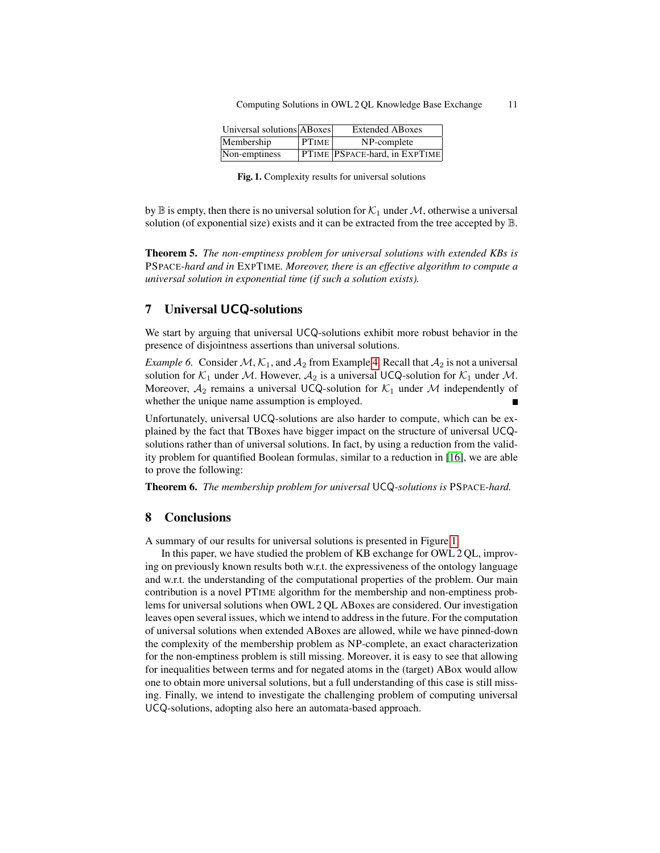| Universal solutions ABoxes |              | <b>Extended ABoxes</b>        |
|----------------------------|--------------|-------------------------------|
| Membership                 | <b>PTIME</b> | NP-complete                   |
| Non-emptiness              |              | PTIME PSPACE-hard, in EXPTIME |

Fig. 1. Complexity results for universal solutions

by  $\mathbb B$  is empty, then there is no universal solution for  $\mathcal K_1$  under  $\mathcal M$ , otherwise a universal solution (of exponential size) exists and it can be extracted from the tree accepted by B.

Theorem 5. *The non-emptiness problem for universal solutions with extended KBs is* PSPACE*-hard and in* EXPTIME*. Moreover, there is an effective algorithm to compute a universal solution in exponential time (if such a solution exists).*

#### 7 Universal UCQ-solutions

We start by arguing that universal UCQ-solutions exhibit more robust behavior in the presence of disjointness assertions than universal solutions.

*Example 6.* Consider M,  $K_1$ , and  $A_2$  from Example 4. Recall that  $A_2$  is not a universal solution for  $K_1$  under M. However,  $A_2$  is a universal UCQ-solution for  $K_1$  under M. Moreover,  $A_2$  remains a universal UCQ-solution for  $K_1$  under M independently of whether the unique name assumption is employed.

Unfortunately, universal UCQ-solutions are also harder to compute, which can be explained by the fact that TBoxes have bigger impact on the structure of universal UCQsolutions rather than of universal solutions. In fact, by using a reduction from the validity problem for quantified Boolean formulas, similar to a reduction in [16], we are able to prove the following:

Theorem 6. *The membership problem for universal* UCQ*-solutions is* PSPACE*-hard.*

#### 8 Conclusions

A summary of our results for universal solutions is presented in Figure 1.

In this paper, we have studied the problem of KB exchange for OWL 2 QL, improving on previously known results both w.r.t. the expressiveness of the ontology language and w.r.t. the understanding of the computational properties of the problem. Our main contribution is a novel PTIME algorithm for the membership and non-emptiness problems for universal solutions when OWL 2 QL ABoxes are considered. Our investigation leaves open several issues, which we intend to address in the future. For the computation of universal solutions when extended ABoxes are allowed, while we have pinned-down the complexity of the membership problem as NP-complete, an exact characterization for the non-emptiness problem is still missing. Moreover, it is easy to see that allowing for inequalities between terms and for negated atoms in the (target) ABox would allow one to obtain more universal solutions, but a full understanding of this case is still missing. Finally, we intend to investigate the challenging problem of computing universal UCQ-solutions, adopting also here an automata-based approach.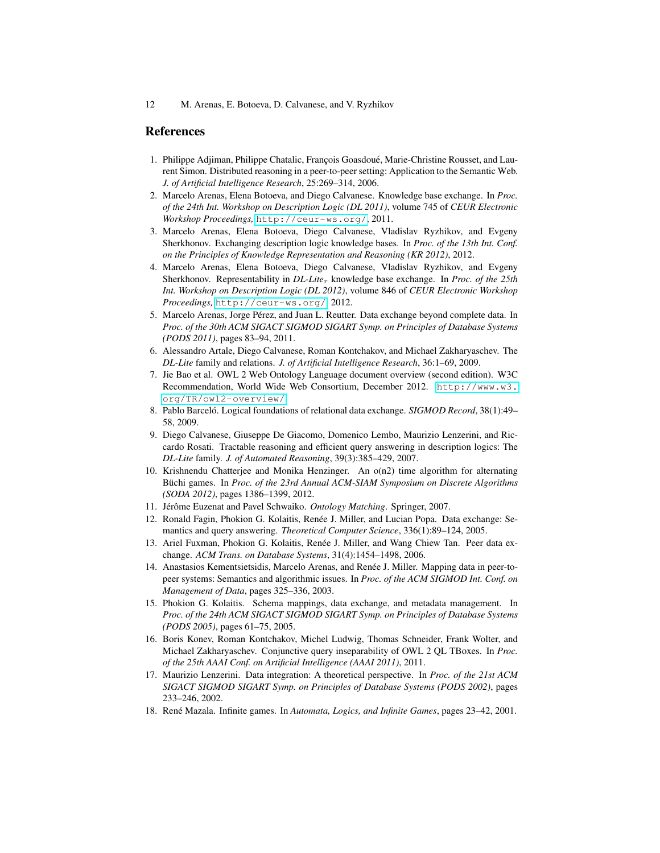#### References

- 1. Philippe Adjiman, Philippe Chatalic, Francois Goasdoué, Marie-Christine Rousset, and Laurent Simon. Distributed reasoning in a peer-to-peer setting: Application to the Semantic Web. *J. of Artificial Intelligence Research*, 25:269–314, 2006.
- 2. Marcelo Arenas, Elena Botoeva, and Diego Calvanese. Knowledge base exchange. In *Proc. of the 24th Int. Workshop on Description Logic (DL 2011)*, volume 745 of *CEUR Electronic Workshop Proceedings,* <http://ceur-ws.org/>, 2011.
- 3. Marcelo Arenas, Elena Botoeva, Diego Calvanese, Vladislav Ryzhikov, and Evgeny Sherkhonov. Exchanging description logic knowledge bases. In *Proc. of the 13th Int. Conf. on the Principles of Knowledge Representation and Reasoning (KR 2012)*, 2012.
- 4. Marcelo Arenas, Elena Botoeva, Diego Calvanese, Vladislav Ryzhikov, and Evgeny Sherkhonov. Representability in *DL-Lite*<sup>r</sup> knowledge base exchange. In *Proc. of the 25th Int. Workshop on Description Logic (DL 2012)*, volume 846 of *CEUR Electronic Workshop Proceedings,* <http://ceur-ws.org/>, 2012.
- 5. Marcelo Arenas, Jorge Pérez, and Juan L. Reutter. Data exchange beyond complete data. In *Proc. of the 30th ACM SIGACT SIGMOD SIGART Symp. on Principles of Database Systems (PODS 2011)*, pages 83–94, 2011.
- 6. Alessandro Artale, Diego Calvanese, Roman Kontchakov, and Michael Zakharyaschev. The *DL-Lite* family and relations. *J. of Artificial Intelligence Research*, 36:1–69, 2009.
- 7. Jie Bao et al. OWL 2 Web Ontology Language document overview (second edition). W3C Recommendation, World Wide Web Consortium, December 2012. [http://www.w3.](http://www.w3.org/TR/owl2-overview/) [org/TR/owl2-overview/](http://www.w3.org/TR/owl2-overview/).
- 8. Pablo Barceló. Logical foundations of relational data exchange. *SIGMOD Record*, 38(1):49– 58, 2009.
- 9. Diego Calvanese, Giuseppe De Giacomo, Domenico Lembo, Maurizio Lenzerini, and Riccardo Rosati. Tractable reasoning and efficient query answering in description logics: The *DL-Lite* family. *J. of Automated Reasoning*, 39(3):385–429, 2007.
- 10. Krishnendu Chatterjee and Monika Henzinger. An o(n2) time algorithm for alternating Büchi games. In Proc. of the 23rd Annual ACM-SIAM Symposium on Discrete Algorithms *(SODA 2012)*, pages 1386–1399, 2012.
- 11. Jérôme Euzenat and Pavel Schwaiko. Ontology Matching. Springer, 2007.
- 12. Ronald Fagin, Phokion G. Kolaitis, Renée J. Miller, and Lucian Popa. Data exchange: Semantics and query answering. *Theoretical Computer Science*, 336(1):89–124, 2005.
- 13. Ariel Fuxman, Phokion G. Kolaitis, Renée J. Miller, and Wang Chiew Tan. Peer data exchange. *ACM Trans. on Database Systems*, 31(4):1454–1498, 2006.
- 14. Anastasios Kementsietsidis, Marcelo Arenas, and Renee J. Miller. Mapping data in peer-to- ´ peer systems: Semantics and algorithmic issues. In *Proc. of the ACM SIGMOD Int. Conf. on Management of Data*, pages 325–336, 2003.
- 15. Phokion G. Kolaitis. Schema mappings, data exchange, and metadata management. In *Proc. of the 24th ACM SIGACT SIGMOD SIGART Symp. on Principles of Database Systems (PODS 2005)*, pages 61–75, 2005.
- 16. Boris Konev, Roman Kontchakov, Michel Ludwig, Thomas Schneider, Frank Wolter, and Michael Zakharyaschev. Conjunctive query inseparability of OWL 2 QL TBoxes. In *Proc. of the 25th AAAI Conf. on Artificial Intelligence (AAAI 2011)*, 2011.
- 17. Maurizio Lenzerini. Data integration: A theoretical perspective. In *Proc. of the 21st ACM SIGACT SIGMOD SIGART Symp. on Principles of Database Systems (PODS 2002)*, pages 233–246, 2002.
- 18. René Mazala. Infinite games. In *Automata, Logics, and Infinite Games*, pages 23–42, 2001.